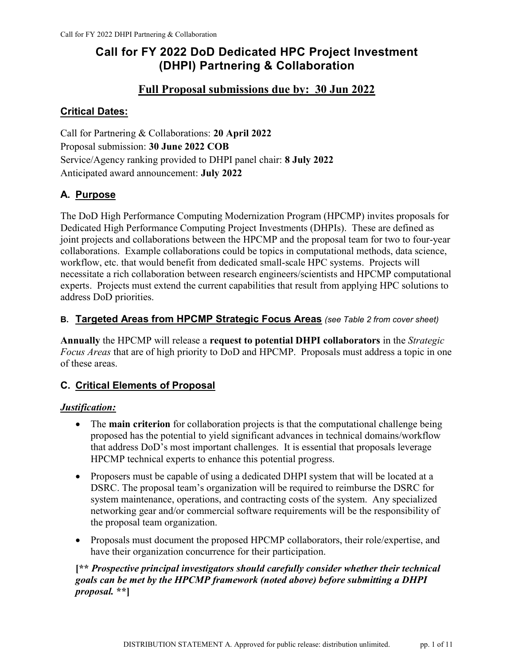# Call for FY 2022 DoD Dedicated HPC Project Investment (DHPI) Partnering & Collaboration

# Full Proposal submissions due by: 30 Jun 2022

# Critical Dates:

Call for Partnering & Collaborations: 20 April 2022 Proposal submission: 30 June 2022 COB Service/Agency ranking provided to DHPI panel chair: 8 July 2022 Anticipated award announcement: July 2022

# A. Purpose

The DoD High Performance Computing Modernization Program (HPCMP) invites proposals for Dedicated High Performance Computing Project Investments (DHPIs). These are defined as joint projects and collaborations between the HPCMP and the proposal team for two to four-year collaborations. Example collaborations could be topics in computational methods, data science, workflow, etc. that would benefit from dedicated small-scale HPC systems. Projects will necessitate a rich collaboration between research engineers/scientists and HPCMP computational experts. Projects must extend the current capabilities that result from applying HPC solutions to address DoD priorities.

# B. Targeted Areas from HPCMP Strategic Focus Areas (see Table 2 from cover sheet)

Annually the HPCMP will release a request to potential DHPI collaborators in the Strategic Focus Areas that are of high priority to DoD and HPCMP. Proposals must address a topic in one of these areas.

# C. Critical Elements of Proposal

## Justification:

- The main criterion for collaboration projects is that the computational challenge being proposed has the potential to yield significant advances in technical domains/workflow that address DoD's most important challenges. It is essential that proposals leverage HPCMP technical experts to enhance this potential progress.
- Proposers must be capable of using a dedicated DHPI system that will be located at a DSRC. The proposal team's organization will be required to reimburse the DSRC for system maintenance, operations, and contracting costs of the system. Any specialized networking gear and/or commercial software requirements will be the responsibility of the proposal team organization.
- Proposals must document the proposed HPCMP collaborators, their role/expertise, and have their organization concurrence for their participation.

# [\*\* Prospective principal investigators should carefully consider whether their technical goals can be met by the HPCMP framework (noted above) before submitting a DHPI proposal. \*\*]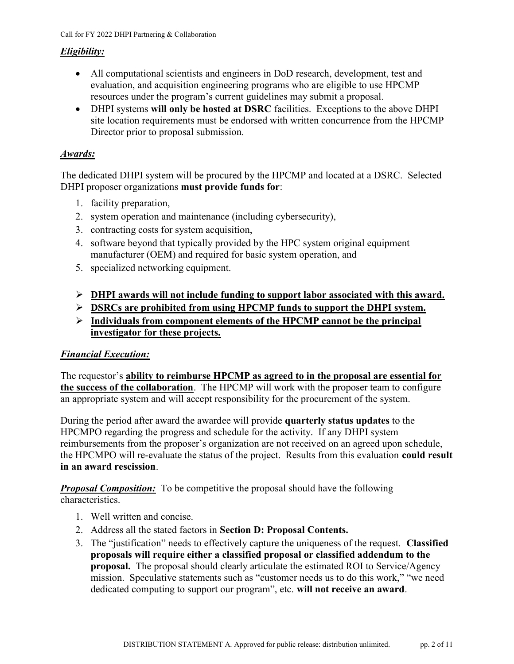## Eligibility:

- All computational scientists and engineers in DoD research, development, test and evaluation, and acquisition engineering programs who are eligible to use HPCMP resources under the program's current guidelines may submit a proposal.
- DHPI systems will only be hosted at DSRC facilities. Exceptions to the above DHPI site location requirements must be endorsed with written concurrence from the HPCMP Director prior to proposal submission.

#### Awards:

The dedicated DHPI system will be procured by the HPCMP and located at a DSRC. Selected DHPI proposer organizations must provide funds for:

- 1. facility preparation,
- 2. system operation and maintenance (including cybersecurity),
- 3. contracting costs for system acquisition,
- 4. software beyond that typically provided by the HPC system original equipment manufacturer (OEM) and required for basic system operation, and
- 5. specialized networking equipment.
- $\triangleright$  DHPI awards will not include funding to support labor associated with this award.
- Some DSRCs are prohibited from using HPCMP funds to support the DHPI system.
- $\triangleright$  Individuals from component elements of the HPCMP cannot be the principal investigator for these projects.

#### Financial Execution:

The requestor's ability to reimburse HPCMP as agreed to in the proposal are essential for the success of the collaboration. The HPCMP will work with the proposer team to configure an appropriate system and will accept responsibility for the procurement of the system.

During the period after award the awardee will provide quarterly status updates to the HPCMPO regarding the progress and schedule for the activity. If any DHPI system reimbursements from the proposer's organization are not received on an agreed upon schedule, the HPCMPO will re-evaluate the status of the project. Results from this evaluation could result in an award rescission.

**Proposal Composition:** To be competitive the proposal should have the following characteristics.

- 1. Well written and concise.
- 2. Address all the stated factors in Section D: Proposal Contents.
- 3. The "justification" needs to effectively capture the uniqueness of the request. Classified proposals will require either a classified proposal or classified addendum to the proposal. The proposal should clearly articulate the estimated ROI to Service/Agency mission. Speculative statements such as "customer needs us to do this work," "we need dedicated computing to support our program", etc. will not receive an award.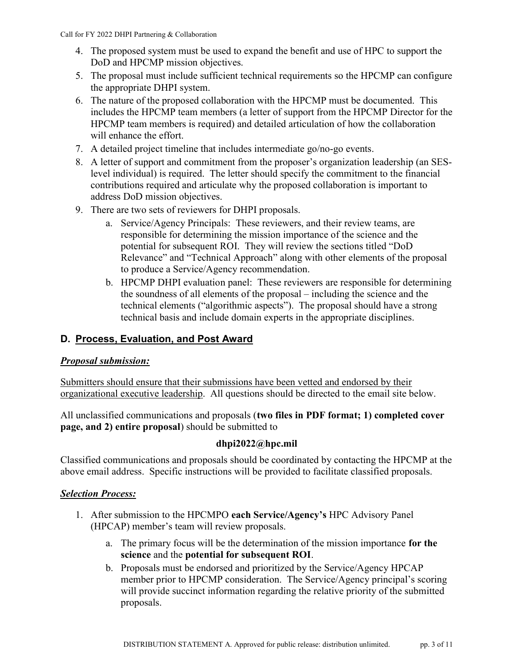- 4. The proposed system must be used to expand the benefit and use of HPC to support the DoD and HPCMP mission objectives.
- 5. The proposal must include sufficient technical requirements so the HPCMP can configure the appropriate DHPI system.
- 6. The nature of the proposed collaboration with the HPCMP must be documented. This includes the HPCMP team members (a letter of support from the HPCMP Director for the HPCMP team members is required) and detailed articulation of how the collaboration will enhance the effort.
- 7. A detailed project timeline that includes intermediate go/no-go events.
- 8. A letter of support and commitment from the proposer's organization leadership (an SESlevel individual) is required. The letter should specify the commitment to the financial contributions required and articulate why the proposed collaboration is important to address DoD mission objectives.
- 9. There are two sets of reviewers for DHPI proposals.
	- a. Service/Agency Principals: These reviewers, and their review teams, are responsible for determining the mission importance of the science and the potential for subsequent ROI. They will review the sections titled "DoD Relevance" and "Technical Approach" along with other elements of the proposal to produce a Service/Agency recommendation.
	- b. HPCMP DHPI evaluation panel: These reviewers are responsible for determining the soundness of all elements of the proposal – including the science and the technical elements ("algorithmic aspects"). The proposal should have a strong technical basis and include domain experts in the appropriate disciplines.

# D. Process, Evaluation, and Post Award

#### Proposal submission:

Submitters should ensure that their submissions have been vetted and endorsed by their organizational executive leadership. All questions should be directed to the email site below.

All unclassified communications and proposals (two files in PDF format; 1) completed cover page, and 2) entire proposal) should be submitted to

#### dhpi2022@hpc.mil

Classified communications and proposals should be coordinated by contacting the HPCMP at the above email address. Specific instructions will be provided to facilitate classified proposals.

#### **Selection Process:**

- 1. After submission to the HPCMPO each Service/Agency's HPC Advisory Panel (HPCAP) member's team will review proposals.
	- a. The primary focus will be the determination of the mission importance for the science and the potential for subsequent ROI.
	- b. Proposals must be endorsed and prioritized by the Service/Agency HPCAP member prior to HPCMP consideration. The Service/Agency principal's scoring will provide succinct information regarding the relative priority of the submitted proposals.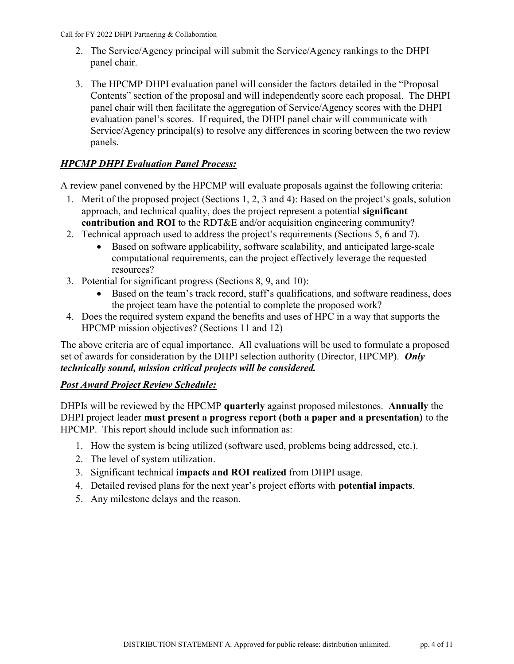- 2. The Service/Agency principal will submit the Service/Agency rankings to the DHPI panel chair.
- 3. The HPCMP DHPI evaluation panel will consider the factors detailed in the "Proposal Contents" section of the proposal and will independently score each proposal. The DHPI panel chair will then facilitate the aggregation of Service/Agency scores with the DHPI evaluation panel's scores. If required, the DHPI panel chair will communicate with Service/Agency principal(s) to resolve any differences in scoring between the two review panels.

## HPCMP DHPI Evaluation Panel Process:

A review panel convened by the HPCMP will evaluate proposals against the following criteria:

- 1. Merit of the proposed project (Sections 1, 2, 3 and 4): Based on the project's goals, solution approach, and technical quality, does the project represent a potential significant contribution and ROI to the RDT&E and/or acquisition engineering community?
- 2. Technical approach used to address the project's requirements (Sections 5, 6 and 7).
	- Based on software applicability, software scalability, and anticipated large-scale computational requirements, can the project effectively leverage the requested resources?
- 3. Potential for significant progress (Sections 8, 9, and 10):
	- Based on the team's track record, staff's qualifications, and software readiness, does the project team have the potential to complete the proposed work?
- 4. Does the required system expand the benefits and uses of HPC in a way that supports the HPCMP mission objectives? (Sections 11 and 12)

The above criteria are of equal importance. All evaluations will be used to formulate a proposed set of awards for consideration by the DHPI selection authority (Director, HPCMP). Only technically sound, mission critical projects will be considered.

## **Post Award Project Review Schedule:**

DHPIs will be reviewed by the HPCMP quarterly against proposed milestones. Annually the DHPI project leader must present a progress report (both a paper and a presentation) to the HPCMP. This report should include such information as:

- 1. How the system is being utilized (software used, problems being addressed, etc.).
- 2. The level of system utilization.
- 3. Significant technical impacts and ROI realized from DHPI usage.
- 4. Detailed revised plans for the next year's project efforts with potential impacts.
- 5. Any milestone delays and the reason.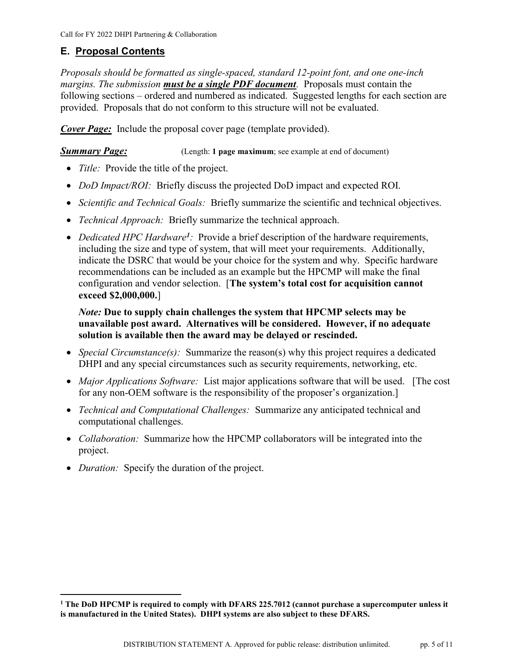# E. Proposal Contents

Proposals should be formatted as single-spaced, standard 12-point font, and one one-inch margins. The submission must be a single PDF document. Proposals must contain the following sections – ordered and numbered as indicated. Suggested lengths for each section are provided. Proposals that do not conform to this structure will not be evaluated.

**Cover Page:** Include the proposal cover page (template provided).

#### **Summary Page:** (Length: 1 page maximum; see example at end of document)

- *Title:* Provide the title of the project.
- DoD Impact/ROI: Briefly discuss the projected DoD impact and expected ROI.
- Scientific and Technical Goals: Briefly summarize the scientific and technical objectives.
- Technical Approach: Briefly summarize the technical approach.
- Dedicated HPC Hardware<sup>1</sup>: Provide a brief description of the hardware requirements, including the size and type of system, that will meet your requirements. Additionally, indicate the DSRC that would be your choice for the system and why. Specific hardware recommendations can be included as an example but the HPCMP will make the final configuration and vendor selection. [The system's total cost for acquisition cannot exceed \$2,000,000.]

Note: Due to supply chain challenges the system that HPCMP selects may be unavailable post award. Alternatives will be considered. However, if no adequate solution is available then the award may be delayed or rescinded.

- Special Circumstance(s): Summarize the reason(s) why this project requires a dedicated DHPI and any special circumstances such as security requirements, networking, etc.
- Major Applications Software: List major applications software that will be used. [The cost for any non-OEM software is the responsibility of the proposer's organization.]
- Technical and Computational Challenges: Summarize any anticipated technical and computational challenges.
- Collaboration: Summarize how the HPCMP collaborators will be integrated into the project.
- *Duration:* Specify the duration of the project.

 $\overline{a}$ 

<sup>&</sup>lt;sup>1</sup> The DoD HPCMP is required to comply with DFARS 225.7012 (cannot purchase a supercomputer unless it is manufactured in the United States). DHPI systems are also subject to these DFARS.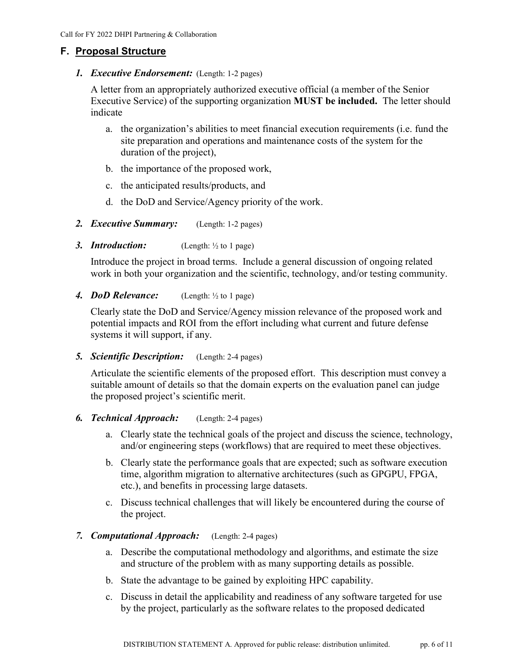## F. Proposal Structure

#### 1. Executive Endorsement: (Length: 1-2 pages)

A letter from an appropriately authorized executive official (a member of the Senior Executive Service) of the supporting organization MUST be included. The letter should indicate

- a. the organization's abilities to meet financial execution requirements (i.e. fund the site preparation and operations and maintenance costs of the system for the duration of the project),
- b. the importance of the proposed work,
- c. the anticipated results/products, and
- d. the DoD and Service/Agency priority of the work.
- 2. Executive Summary: (Length: 1-2 pages)
- 3. **Introduction:** (Length:  $\frac{1}{2}$  to 1 page)

Introduce the project in broad terms. Include a general discussion of ongoing related work in both your organization and the scientific, technology, and/or testing community.

4. **DoD Relevance:** (Length:  $\frac{1}{2}$  to 1 page)

Clearly state the DoD and Service/Agency mission relevance of the proposed work and potential impacts and ROI from the effort including what current and future defense systems it will support, if any.

5. Scientific Description: (Length: 2-4 pages)

Articulate the scientific elements of the proposed effort. This description must convey a suitable amount of details so that the domain experts on the evaluation panel can judge the proposed project's scientific merit.

- 6. Technical Approach:  $(Length: 2-4 pages)$ 
	- a. Clearly state the technical goals of the project and discuss the science, technology, and/or engineering steps (workflows) that are required to meet these objectives.
	- b. Clearly state the performance goals that are expected; such as software execution time, algorithm migration to alternative architectures (such as GPGPU, FPGA, etc.), and benefits in processing large datasets.
	- c. Discuss technical challenges that will likely be encountered during the course of the project.

#### 7. **Computational Approach:** (Length: 2-4 pages)

- a. Describe the computational methodology and algorithms, and estimate the size and structure of the problem with as many supporting details as possible.
- b. State the advantage to be gained by exploiting HPC capability.
- c. Discuss in detail the applicability and readiness of any software targeted for use by the project, particularly as the software relates to the proposed dedicated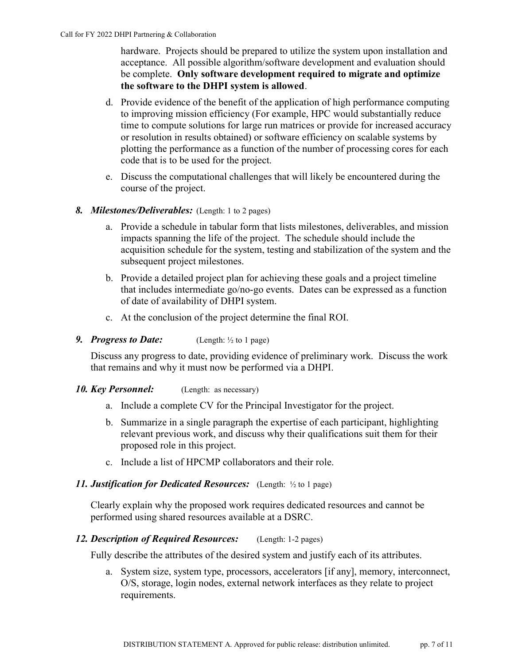hardware. Projects should be prepared to utilize the system upon installation and acceptance. All possible algorithm/software development and evaluation should be complete. Only software development required to migrate and optimize the software to the DHPI system is allowed.

- d. Provide evidence of the benefit of the application of high performance computing to improving mission efficiency (For example, HPC would substantially reduce time to compute solutions for large run matrices or provide for increased accuracy or resolution in results obtained) or software efficiency on scalable systems by plotting the performance as a function of the number of processing cores for each code that is to be used for the project.
- e. Discuss the computational challenges that will likely be encountered during the course of the project.

#### 8. Milestones/Deliverables: (Length: 1 to 2 pages)

- a. Provide a schedule in tabular form that lists milestones, deliverables, and mission impacts spanning the life of the project. The schedule should include the acquisition schedule for the system, testing and stabilization of the system and the subsequent project milestones.
- b. Provide a detailed project plan for achieving these goals and a project timeline that includes intermediate go/no-go events. Dates can be expressed as a function of date of availability of DHPI system.
- c. At the conclusion of the project determine the final ROI.
- 9. Progress to Date: (Length:  $\frac{1}{2}$  to 1 page)

Discuss any progress to date, providing evidence of preliminary work. Discuss the work that remains and why it must now be performed via a DHPI.

#### 10. Key Personnel: (Length: as necessary)

- a. Include a complete CV for the Principal Investigator for the project.
- b. Summarize in a single paragraph the expertise of each participant, highlighting relevant previous work, and discuss why their qualifications suit them for their proposed role in this project.
- c. Include a list of HPCMP collaborators and their role.

#### 11. Justification for Dedicated Resources: (Length:  $\frac{1}{2}$  to 1 page)

Clearly explain why the proposed work requires dedicated resources and cannot be performed using shared resources available at a DSRC.

#### 12. Description of Required Resources: (Length: 1-2 pages)

Fully describe the attributes of the desired system and justify each of its attributes.

a. System size, system type, processors, accelerators [if any], memory, interconnect, O/S, storage, login nodes, external network interfaces as they relate to project requirements.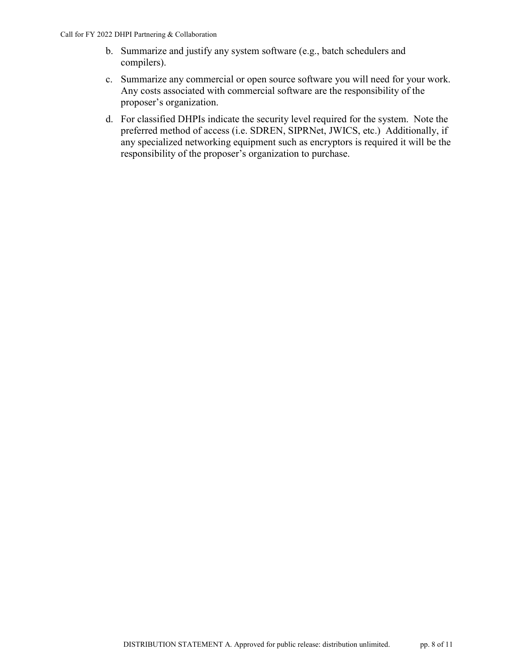- b. Summarize and justify any system software (e.g., batch schedulers and compilers).
- c. Summarize any commercial or open source software you will need for your work. Any costs associated with commercial software are the responsibility of the proposer's organization.
- d. For classified DHPIs indicate the security level required for the system. Note the preferred method of access (i.e. SDREN, SIPRNet, JWICS, etc.) Additionally, if any specialized networking equipment such as encryptors is required it will be the responsibility of the proposer's organization to purchase.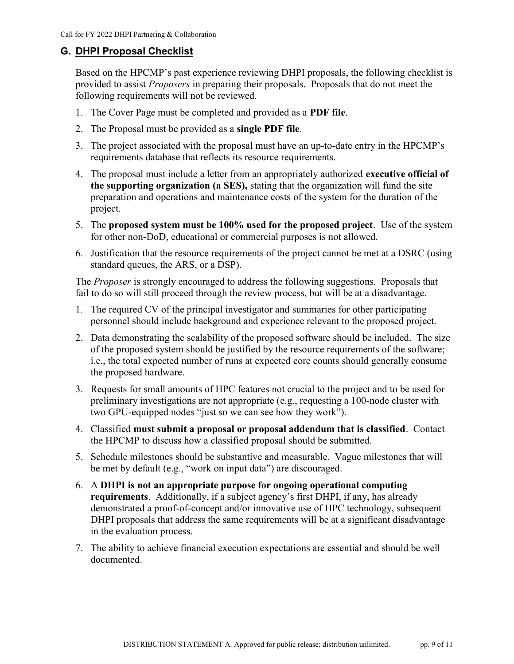# G. DHPI Proposal Checklist

Based on the HPCMP's past experience reviewing DHPI proposals, the following checklist is provided to assist Proposers in preparing their proposals. Proposals that do not meet the following requirements will not be reviewed.

- 1. The Cover Page must be completed and provided as a PDF file.
- 2. The Proposal must be provided as a single PDF file.
- 3. The project associated with the proposal must have an up-to-date entry in the HPCMP's requirements database that reflects its resource requirements.
- 4. The proposal must include a letter from an appropriately authorized executive official of the supporting organization (a SES), stating that the organization will fund the site preparation and operations and maintenance costs of the system for the duration of the project.
- 5. The proposed system must be 100% used for the proposed project. Use of the system for other non-DoD, educational or commercial purposes is not allowed.
- 6. Justification that the resource requirements of the project cannot be met at a DSRC (using standard queues, the ARS, or a DSP).

The Proposer is strongly encouraged to address the following suggestions. Proposals that fail to do so will still proceed through the review process, but will be at a disadvantage.

- 1. The required CV of the principal investigator and summaries for other participating personnel should include background and experience relevant to the proposed project.
- 2. Data demonstrating the scalability of the proposed software should be included. The size of the proposed system should be justified by the resource requirements of the software; i.e., the total expected number of runs at expected core counts should generally consume the proposed hardware.
- 3. Requests for small amounts of HPC features not crucial to the project and to be used for preliminary investigations are not appropriate (e.g., requesting a 100-node cluster with two GPU-equipped nodes "just so we can see how they work").
- 4. Classified must submit a proposal or proposal addendum that is classified. Contact the HPCMP to discuss how a classified proposal should be submitted.
- 5. Schedule milestones should be substantive and measurable. Vague milestones that will be met by default (e.g., "work on input data") are discouraged.
- 6. A DHPI is not an appropriate purpose for ongoing operational computing requirements. Additionally, if a subject agency's first DHPI, if any, has already demonstrated a proof-of-concept and/or innovative use of HPC technology, subsequent DHPI proposals that address the same requirements will be at a significant disadvantage in the evaluation process.
- 7. The ability to achieve financial execution expectations are essential and should be well documented.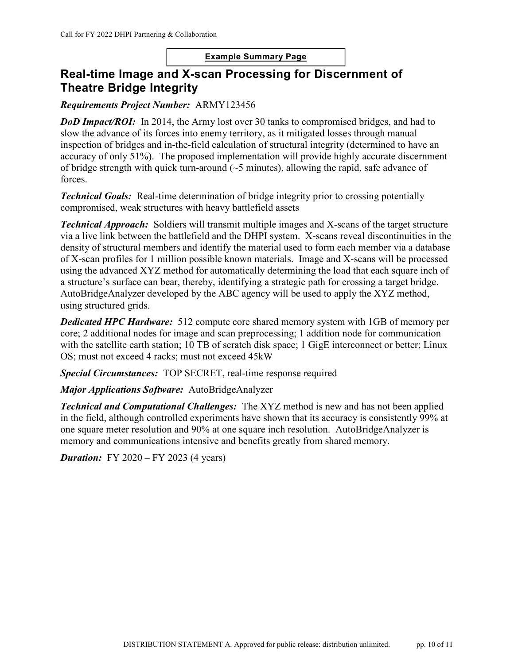#### Example Summary Page

# Real-time Image and X-scan Processing for Discernment of Theatre Bridge Integrity

Requirements Project Number: ARMY123456

**DoD Impact/ROI:** In 2014, the Army lost over 30 tanks to compromised bridges, and had to slow the advance of its forces into enemy territory, as it mitigated losses through manual inspection of bridges and in-the-field calculation of structural integrity (determined to have an accuracy of only 51%). The proposed implementation will provide highly accurate discernment of bridge strength with quick turn-around (~5 minutes), allowing the rapid, safe advance of forces.

**Technical Goals:** Real-time determination of bridge integrity prior to crossing potentially compromised, weak structures with heavy battlefield assets

**Technical Approach:** Soldiers will transmit multiple images and X-scans of the target structure via a live link between the battlefield and the DHPI system. X-scans reveal discontinuities in the density of structural members and identify the material used to form each member via a database of X-scan profiles for 1 million possible known materials. Image and X-scans will be processed using the advanced XYZ method for automatically determining the load that each square inch of a structure's surface can bear, thereby, identifying a strategic path for crossing a target bridge. AutoBridgeAnalyzer developed by the ABC agency will be used to apply the XYZ method, using structured grids.

**Dedicated HPC Hardware:** 512 compute core shared memory system with 1GB of memory per core; 2 additional nodes for image and scan preprocessing; 1 addition node for communication with the satellite earth station; 10 TB of scratch disk space; 1 GigE interconnect or better; Linux OS; must not exceed 4 racks; must not exceed 45kW

Special Circumstances: TOP SECRET, real-time response required

Major Applications Software: AutoBridgeAnalyzer

**Technical and Computational Challenges:** The XYZ method is new and has not been applied in the field, although controlled experiments have shown that its accuracy is consistently 99% at one square meter resolution and 90% at one square inch resolution. AutoBridgeAnalyzer is memory and communications intensive and benefits greatly from shared memory.

**Duration:** FY 2020 – FY 2023 (4 years)